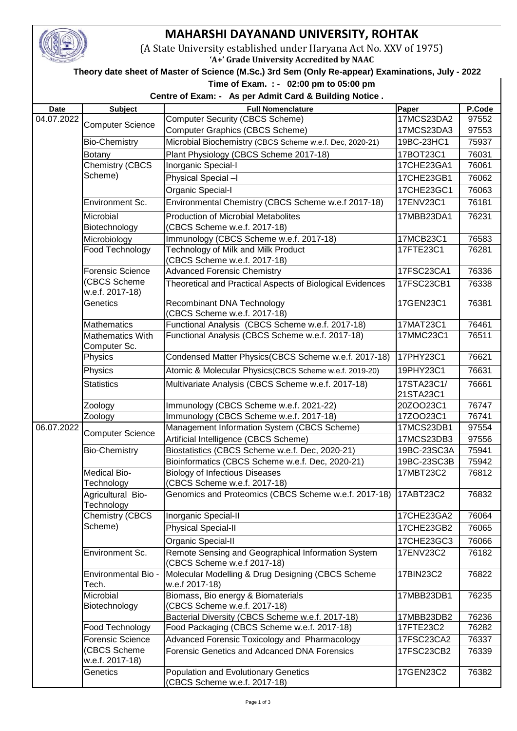

## **MAHARSHI DAYANAND UNIVERSITY, ROHTAK**

(A State University established under Haryana Act No. XXV of 1975)

**'A+' Grade University Accredited by NAAC**

## **Theory date sheet of Master of Science (M.Sc.) 3rd Sem (Only Re-appear) Examinations, July - 2022**

 **Time of Exam. : - 02:00 pm to 05:00 pm** 

## **Centre of Exam: - As per Admit Card & Building Notice .**

|             |                                         | $\alpha$ being of Exam. - As per Adminitedrate building notice.                   |                          |                 |
|-------------|-----------------------------------------|-----------------------------------------------------------------------------------|--------------------------|-----------------|
| <b>Date</b> | <b>Subject</b>                          | <b>Full Nomenclature</b><br>Computer Security (CBCS Scheme)                       | Paper<br>17MCS23DA2      | P.Code<br>97552 |
| 04.07.2022  | <b>Computer Science</b>                 | <b>Computer Graphics (CBCS Scheme)</b>                                            |                          |                 |
|             | <b>Bio-Chemistry</b>                    | Microbial Biochemistry (CBCS Scheme w.e.f. Dec, 2020-21)                          | 17MCS23DA3<br>19BC-23HC1 | 97553<br>75937  |
|             |                                         |                                                                                   |                          |                 |
|             | <b>Botany</b><br><b>Chemistry (CBCS</b> | Plant Physiology (CBCS Scheme 2017-18)                                            | 17BOT23C1<br>17CHE23GA1  | 76031           |
|             | Scheme)                                 | Inorganic Special-I                                                               |                          | 76061           |
|             |                                         | Physical Special -I                                                               | 17CHE23GB1               | 76062           |
|             |                                         | Organic Special-I                                                                 | 17CHE23GC1               | 76063           |
|             | <b>Environment Sc.</b>                  | Environmental Chemistry (CBCS Scheme w.e.f 2017-18)                               | 17ENV23C1                | 76181           |
|             | Microbial<br>Biotechnology              | <b>Production of Microbial Metabolites</b><br>(CBCS Scheme w.e.f. 2017-18)        | 17MBB23DA1               | 76231           |
|             | Microbiology                            | Immunology (CBCS Scheme w.e.f. 2017-18)                                           | 17MCB23C1                | 76583           |
|             | Food Technology                         | Technology of Milk and Milk Product<br>(CBCS Scheme w.e.f. 2017-18)               | 17FTE23C1                | 76281           |
|             | Forensic Science                        | <b>Advanced Forensic Chemistry</b>                                                | 17FSC23CA1               | 76336           |
|             | (CBCS Scheme<br>w.e.f. 2017-18)         | Theoretical and Practical Aspects of Biological Evidences                         | 17FSC23CB1               | 76338           |
|             | Genetics                                | Recombinant DNA Technology<br>(CBCS Scheme w.e.f. 2017-18)                        | 17GEN23C1                | 76381           |
|             | <b>Mathematics</b>                      | Functional Analysis (CBCS Scheme w.e.f. 2017-18)                                  | 17MAT23C1                | 76461           |
|             | <b>Mathematics With</b><br>Computer Sc. | Functional Analysis (CBCS Scheme w.e.f. 2017-18)                                  | 17MMC23C1                | 76511           |
|             | Physics                                 | Condensed Matter Physics(CBCS Scheme w.e.f. 2017-18)                              | 17PHY23C1                | 76621           |
|             | Physics                                 | Atomic & Molecular Physics(CBCS Scheme w.e.f. 2019-20)                            | 19PHY23C1                | 76631           |
|             | <b>Statistics</b>                       | Multivariate Analysis (CBCS Scheme w.e.f. 2017-18)                                | 17STA23C1/               | 76661           |
|             |                                         |                                                                                   | 21STA23C1                |                 |
|             | Zoology                                 | Immunology (CBCS Scheme w.e.f. 2021-22)                                           | 20ZOO23C1                | 76747           |
|             | Zoology                                 | Immunology (CBCS Scheme w.e.f. 2017-18)                                           | 17ZOO23C1                | 76741           |
| 06.07.2022  | <b>Computer Science</b>                 | Management Information System (CBCS Scheme)                                       | 17MCS23DB1               | 97554           |
|             |                                         | Artificial Intelligence (CBCS Scheme)                                             | 17MCS23DB3               | 97556           |
|             | <b>Bio-Chemistry</b>                    | Biostatistics (CBCS Scheme w.e.f. Dec, 2020-21)                                   | 19BC-23SC3A              | 75941           |
|             |                                         | Bioinformatics (CBCS Scheme w.e.f. Dec, 2020-21)                                  | 19BC-23SC3B              | 75942           |
|             | <b>Medical Bio-</b><br>Technology       | <b>Biology of Infectious Diseases</b><br>(CBCS Scheme w.e.f. 2017-18)             | 17MBT23C2                | 76812           |
|             | Agricultural Bio-<br>Technology         | Genomics and Proteomics (CBCS Scheme w.e.f. 2017-18)                              | 17ABT23C2                | 76832           |
|             | <b>Chemistry (CBCS</b>                  | Inorganic Special-II                                                              | 17CHE23GA2               | 76064           |
|             | Scheme)                                 | <b>Physical Special-II</b>                                                        | 17CHE23GB2               | 76065           |
|             |                                         | Organic Special-II                                                                | 17CHE23GC3               | 76066           |
|             | Environment Sc.                         | Remote Sensing and Geographical Information System<br>(CBCS Scheme w.e.f 2017-18) | 17ENV23C2                | 76182           |
|             | Environmental Bio -<br>Tech.            | Molecular Modelling & Drug Designing (CBCS Scheme)<br>w.e.f 2017-18)              | 17BIN23C2                | 76822           |
|             | Microbial<br>Biotechnology              | Biomass, Bio energy & Biomaterials<br>(CBCS Scheme w.e.f. 2017-18)                | 17MBB23DB1               | 76235           |
|             |                                         | Bacterial Diversity (CBCS Scheme w.e.f. 2017-18)                                  | 17MBB23DB2               | 76236           |
|             | Food Technology                         | Food Packaging (CBCS Scheme w.e.f. 2017-18)                                       | 17FTE23C2                | 76282           |
|             | Forensic Science                        | Advanced Forensic Toxicology and Pharmacology                                     | 17FSC23CA2               | 76337           |
|             | (CBCS Scheme<br>w.e.f. 2017-18)         | Forensic Genetics and Adcanced DNA Forensics                                      | 17FSC23CB2               | 76339           |
|             | Genetics                                | <b>Population and Evolutionary Genetics</b><br>(CBCS Scheme w.e.f. 2017-18)       | 17GEN23C2                | 76382           |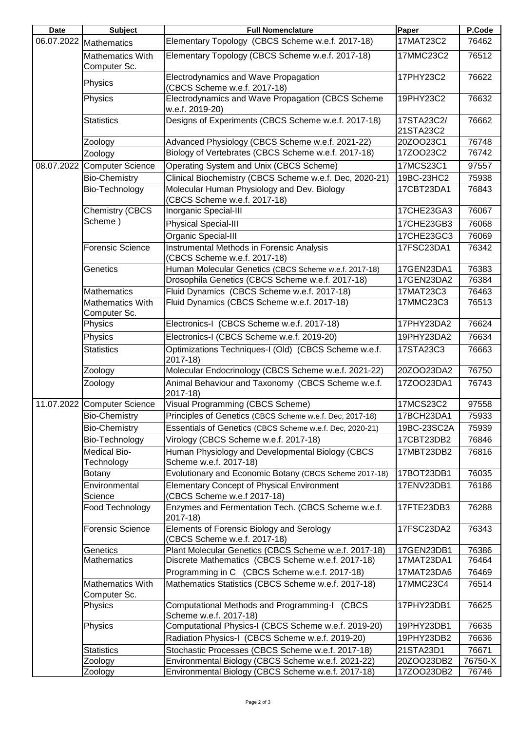| <b>Date</b> | <b>Subject</b>                          | <b>Full Nomenclature</b>                                                         | Paper                   | P.Code  |
|-------------|-----------------------------------------|----------------------------------------------------------------------------------|-------------------------|---------|
|             | 06.07.2022 Mathematics                  | Elementary Topology (CBCS Scheme w.e.f. 2017-18)                                 | 17MAT23C2               | 76462   |
|             | <b>Mathematics With</b><br>Computer Sc. | Elementary Topology (CBCS Scheme w.e.f. 2017-18)                                 | 17MMC23C2               | 76512   |
|             | Physics                                 | Electrodynamics and Wave Propagation<br>(CBCS Scheme w.e.f. 2017-18)             | 17PHY23C2               | 76622   |
|             | Physics                                 | Electrodynamics and Wave Propagation (CBCS Scheme<br>w.e.f. 2019-20)             | 19PHY23C2               | 76632   |
|             | <b>Statistics</b>                       | Designs of Experiments (CBCS Scheme w.e.f. 2017-18)                              | 17STA23C2/<br>21STA23C2 | 76662   |
|             | Zoology                                 | Advanced Physiology (CBCS Scheme w.e.f. 2021-22)                                 | 20ZOO23C1               | 76748   |
|             | Zoology                                 | Biology of Vertebrates (CBCS Scheme w.e.f. 2017-18)                              | 17ZOO23C2               | 76742   |
|             | 08.07.2022 Computer Science             | Operating System and Unix (CBCS Scheme)                                          | 17MCS23C1               | 97557   |
|             | <b>Bio-Chemistry</b>                    | Clinical Biochemistry (CBCS Scheme w.e.f. Dec, 2020-21)                          | 19BC-23HC2              | 75938   |
|             | Bio-Technology                          | Molecular Human Physiology and Dev. Biology<br>(CBCS Scheme w.e.f. 2017-18)      | 17CBT23DA1              | 76843   |
|             | <b>Chemistry (CBCS</b><br>Scheme)       | Inorganic Special-III                                                            | 17CHE23GA3              | 76067   |
|             |                                         | <b>Physical Special-III</b>                                                      | 17CHE23GB3              | 76068   |
|             |                                         | Organic Special-III                                                              | 17CHE23GC3              | 76069   |
|             | <b>Forensic Science</b>                 | Instrumental Methods in Forensic Analysis<br>(CBCS Scheme w.e.f. 2017-18)        | 17FSC23DA1              | 76342   |
|             | Genetics                                | Human Molecular Genetics (CBCS Scheme w.e.f. 2017-18)                            | 17GEN23DA1              | 76383   |
|             |                                         | Drosophila Genetics (CBCS Scheme w.e.f. 2017-18)                                 | 17GEN23DA2              | 76384   |
|             | <b>Mathematics</b>                      | Fluid Dynamics (CBCS Scheme w.e.f. 2017-18)                                      | 17MAT23C3               | 76463   |
|             | Mathematics With<br>Computer Sc.        | Fluid Dynamics (CBCS Scheme w.e.f. 2017-18)                                      | 17MMC23C3               | 76513   |
|             | Physics                                 | Electronics-I (CBCS Scheme w.e.f. 2017-18)                                       | 17PHY23DA2              | 76624   |
|             | Physics                                 | Electronics-I (CBCS Scheme w.e.f. 2019-20)                                       | 19PHY23DA2              | 76634   |
|             | <b>Statistics</b>                       | Optimizations Techniques-I (Old) (CBCS Scheme w.e.f.<br>2017-18)                 | 17STA23C3               | 76663   |
|             | Zoology                                 | Molecular Endocrinology (CBCS Scheme w.e.f. 2021-22)                             | 20ZOO23DA2              | 76750   |
|             | Zoology                                 | Animal Behaviour and Taxonomy (CBCS Scheme w.e.f.<br>$2017 - 18$                 | 17ZOO23DA1              | 76743   |
|             | 11.07.2022 Computer Science             | Visual Programming (CBCS Scheme)                                                 | 17MCS23C2               | 97558   |
|             | <b>Bio-Chemistry</b>                    | Principles of Genetics (CBCS Scheme w.e.f. Dec, 2017-18)                         | 17BCH23DA1              | 75933   |
|             | <b>Bio-Chemistry</b>                    | Essentials of Genetics (CBCS Scheme w.e.f. Dec, 2020-21)                         | 19BC-23SC2A             | 75939   |
|             | Bio-Technology                          | Virology (CBCS Scheme w.e.f. 2017-18)                                            | 17CBT23DB2              | 76846   |
|             | Medical Bio-                            | Human Physiology and Developmental Biology (CBCS                                 | 17MBT23DB2              | 76816   |
|             | Technology                              | Scheme w.e.f. 2017-18)                                                           |                         |         |
|             | <b>Botany</b>                           | Evolutionary and Economic Botany (CBCS Scheme 2017-18)                           | 17BOT23DB1              | 76035   |
|             | Environmental<br>Science                | <b>Elementary Concept of Physical Environment</b><br>(CBCS Scheme w.e.f 2017-18) | 17ENV23DB1              | 76186   |
|             | Food Technology                         | Enzymes and Fermentation Tech. (CBCS Scheme w.e.f.<br>$2017 - 18$                | 17FTE23DB3              | 76288   |
|             | <b>Forensic Science</b>                 | Elements of Forensic Biology and Serology<br>(CBCS Scheme w.e.f. 2017-18)        | 17FSC23DA2              | 76343   |
|             | Genetics                                | Plant Molecular Genetics (CBCS Scheme w.e.f. 2017-18)                            | 17GEN23DB1              | 76386   |
|             | <b>Mathematics</b>                      | Discrete Mathematics (CBCS Scheme w.e.f. 2017-18)                                | 17MAT23DA1              | 76464   |
|             |                                         | Programming in C (CBCS Scheme w.e.f. 2017-18)                                    | 17MAT23DA6              | 76469   |
|             | Mathematics With<br>Computer Sc.        | Mathematics Statistics (CBCS Scheme w.e.f. 2017-18)                              | 17MMC23C4               | 76514   |
|             | Physics                                 | Computational Methods and Programming-I (CBCS<br>Scheme w.e.f. 2017-18)          | 17PHY23DB1              | 76625   |
|             | Physics                                 | Computational Physics-I (CBCS Scheme w.e.f. 2019-20)                             | 19PHY23DB1              | 76635   |
|             |                                         | Radiation Physics-I (CBCS Scheme w.e.f. 2019-20)                                 | 19PHY23DB2              | 76636   |
|             | <b>Statistics</b>                       | Stochastic Processes (CBCS Scheme w.e.f. 2017-18)                                | 21STA23D1               | 76671   |
|             | Zoology                                 | Environmental Biology (CBCS Scheme w.e.f. 2021-22)                               | 20ZOO23DB2              | 76750-X |
|             | Zoology                                 | Environmental Biology (CBCS Scheme w.e.f. 2017-18)                               | 17ZOO23DB2              | 76746   |